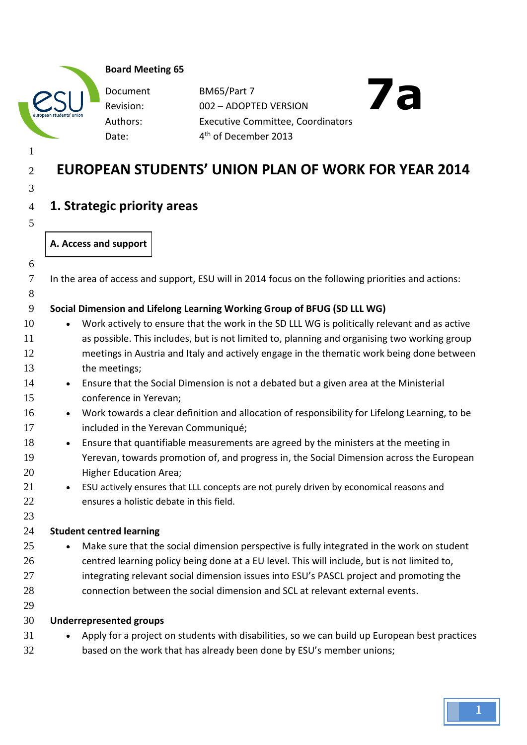|  | <b>Board Meeting 65</b> |  |
|--|-------------------------|--|
|--|-------------------------|--|

Document Revision: Date:

BM65/Part 7 002 – ADOPTED VERSION Authors: Executive Committee, Coordinators 4<sup>th</sup> of December 2013

# **7a**

## **EUROPEAN STUDENTS' UNION PLAN OF WORK FOR YEAR 2014**

## **1. Strategic priority areas**

## **A. Access and support**

In the area of access and support, ESU will in 2014 focus on the following priorities and actions:

## **Social Dimension and Lifelong Learning Working Group of BFUG (SD LLL WG)**

- 10 Work actively to ensure that the work in the SD LLL WG is politically relevant and as active as possible. This includes, but is not limited to, planning and organising two working group meetings in Austria and Italy and actively engage in the thematic work being done between the meetings;
- 14 Ensure that the Social Dimension is not a debated but a given area at the Ministerial conference in Yerevan;
- 16 Work towards a clear definition and allocation of responsibility for Lifelong Learning, to be included in the Yerevan Communiqué;
- 18 Ensure that quantifiable measurements are agreed by the ministers at the meeting in Yerevan, towards promotion of, and progress in, the Social Dimension across the European Higher Education Area;
- ESU actively ensures that LLL concepts are not purely driven by economical reasons and ensures a holistic debate in this field.

## **Student centred learning**

- 25 Make sure that the social dimension perspective is fully integrated in the work on student centred learning policy being done at a EU level. This will include, but is not limited to, 27 integrating relevant social dimension issues into ESU's PASCL project and promoting the connection between the social dimension and SCL at relevant external events.
- 

## **Underrepresented groups**

- 31 Apply for a project on students with disabilities, so we can build up European best practices
- based on the work that has already been done by ESU's member unions;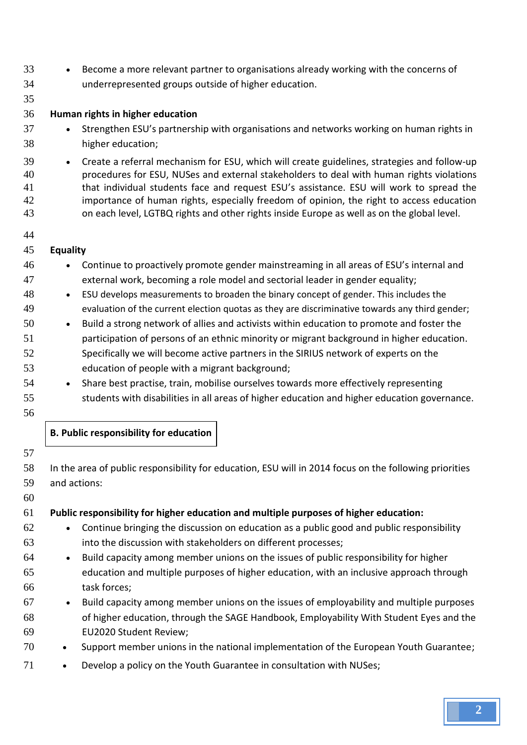- Become a more relevant partner to organisations already working with the concerns of underrepresented groups outside of higher education.
- 

## **Human rights in higher education**

- 37 Strengthen ESU's partnership with organisations and networks working on human rights in higher education;
- Create a referral mechanism for ESU, which will create guidelines, strategies and follow-up procedures for ESU, NUSes and external stakeholders to deal with human rights violations that individual students face and request ESU's assistance. ESU will work to spread the importance of human rights, especially freedom of opinion, the right to access education on each level, LGTBQ rights and other rights inside Europe as well as on the global level.
- 

## **Equality**

- Continue to proactively promote gender mainstreaming in all areas of ESU's internal and external work, becoming a role model and sectorial leader in gender equality;
- ESU develops measurements to broaden the binary concept of gender. This includes the evaluation of the current election quotas as they are discriminative towards any third gender;
- 50 Build a strong network of allies and activists within education to promote and foster the participation of persons of an ethnic minority or migrant background in higher education. Specifically we will become active partners in the SIRIUS network of experts on the education of people with a migrant background;
- 54 Share best practise, train, mobilise ourselves towards more effectively representing students with disabilities in all areas of higher education and higher education governance.
- 

**B. Public responsibility for education**

| $\mathcal{I}$ |                                                                                                        |
|---------------|--------------------------------------------------------------------------------------------------------|
| 58            | In the area of public responsibility for education, ESU will in 2014 focus on the following priorities |
| 59            | and actions:                                                                                           |
| 60            |                                                                                                        |
| 61            | Public responsibility for higher education and multiple purposes of higher education:                  |
| 62            | Continue bringing the discussion on education as a public good and public responsibility<br>$\bullet$  |
| 63            | into the discussion with stakeholders on different processes;                                          |
| 64            | Build capacity among member unions on the issues of public responsibility for higher<br>$\bullet$      |
| 65            | education and multiple purposes of higher education, with an inclusive approach through                |
| 66            | task forces;                                                                                           |
| 67            | Build capacity among member unions on the issues of employability and multiple purposes<br>$\bullet$   |
| 68            | of higher education, through the SAGE Handbook, Employability With Student Eyes and the                |
| 69            | <b>EU2020 Student Review;</b>                                                                          |
| 70            | Support member unions in the national implementation of the European Youth Guarantee;                  |
|               |                                                                                                        |

71 • Develop a policy on the Youth Guarantee in consultation with NUSes;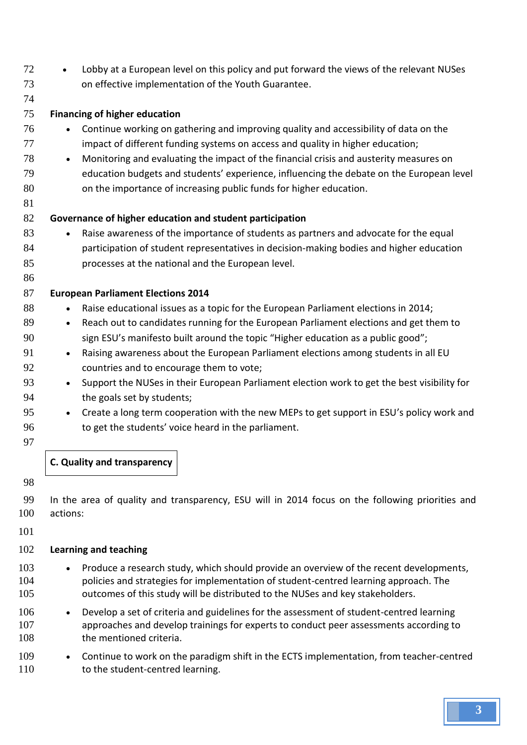- 72 Lobby at a European level on this policy and put forward the views of the relevant NUSes on effective implementation of the Youth Guarantee. **Financing of higher education** Continue working on gathering and improving quality and accessibility of data on the 77 impact of different funding systems on access and quality in higher education; 78 • Monitoring and evaluating the impact of the financial crisis and austerity measures on education budgets and students' experience, influencing the debate on the European level on the importance of increasing public funds for higher education. **Governance of higher education and student participation** 83 each operator and advocate for the sequal interests of the importance of students as partners and advocate for the equal participation of student representatives in decision-making bodies and higher education processes at the national and the European level. **European Parliament Elections 2014** 88 • Raise educational issues as a topic for the European Parliament elections in 2014; 89 • Reach out to candidates running for the European Parliament elections and get them to sign ESU's manifesto built around the topic "Higher education as a public good"; 91 • Raising awareness about the European Parliament elections among students in all EU countries and to encourage them to vote; 93 • Support the NUSes in their European Parliament election work to get the best visibility for the goals set by students; 95 • Create a long term cooperation with the new MEPs to get support in ESU's policy work and 96 to get the students' voice heard in the parliament. **C. Quality and transparency**
- 

 In the area of quality and transparency, ESU will in 2014 focus on the following priorities and actions:

## **Learning and teaching**

- 103 Produce a research study, which should provide an overview of the recent developments, policies and strategies for implementation of student-centred learning approach. The outcomes of this study will be distributed to the NUSes and key stakeholders.
- 106 Develop a set of criteria and guidelines for the assessment of student-centred learning approaches and develop trainings for experts to conduct peer assessments according to 108 the mentioned criteria.
- 109 Continue to work on the paradigm shift in the ECTS implementation, from teacher-centred 110 to the student-centred learning.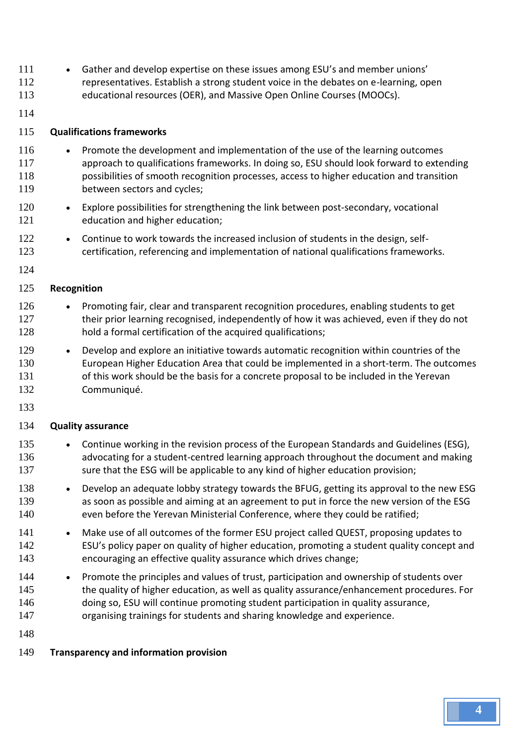- Gather and develop expertise on these issues among ESU's and member unions' representatives. Establish a strong student voice in the debates on e-learning, open educational resources (OER), and Massive Open Online Courses (MOOCs).
- 

### **Qualifications frameworks**

- Promote the development and implementation of the use of the learning outcomes approach to qualifications frameworks. In doing so, ESU should look forward to extending possibilities of smooth recognition processes, access to higher education and transition between sectors and cycles;
- 120 Explore possibilities for strengthening the link between post-secondary, vocational education and higher education;
- 122 Continue to work towards the increased inclusion of students in the design, self-certification, referencing and implementation of national qualifications frameworks.

#### 

#### **Recognition**

- 126 Promoting fair, clear and transparent recognition procedures, enabling students to get 127 their prior learning recognised, independently of how it was achieved, even if they do not 128 hold a formal certification of the acquired qualifications;
- 129 Develop and explore an initiative towards automatic recognition within countries of the European Higher Education Area that could be implemented in a short-term. The outcomes 131 of this work should be the basis for a concrete proposal to be included in the Yerevan Communiqué.
- 

#### **Quality assurance**

- 135 Continue working in the revision process of the European Standards and Guidelines (ESG), advocating for a student-centred learning approach throughout the document and making 137 sure that the ESG will be applicable to any kind of higher education provision;
- 138 Develop an adequate lobby strategy towards the BFUG, getting its approval to the new ESG as soon as possible and aiming at an agreement to put in force the new version of the ESG even before the Yerevan Ministerial Conference, where they could be ratified;
- 141 Make use of all outcomes of the former ESU project called QUEST, proposing updates to ESU's policy paper on quality of higher education, promoting a student quality concept and encouraging an effective quality assurance which drives change;
- 144 Promote the principles and values of trust, participation and ownership of students over 145 the quality of higher education, as well as quality assurance/enhancement procedures. For doing so, ESU will continue promoting student participation in quality assurance, organising trainings for students and sharing knowledge and experience.
- 
- **Transparency and information provision**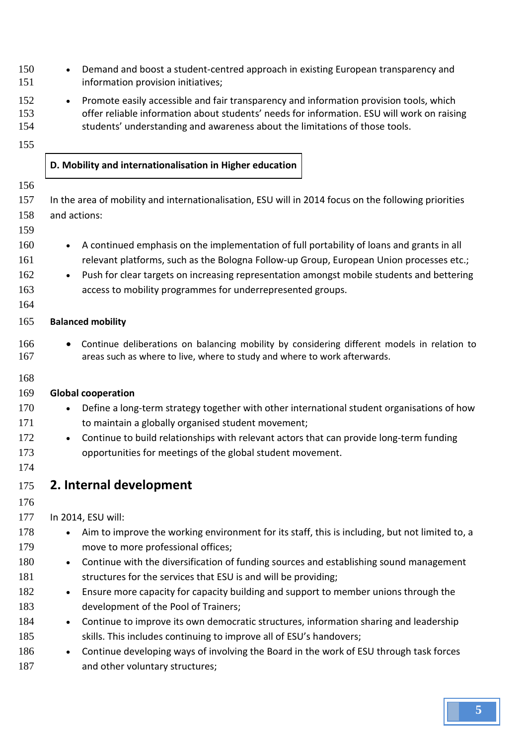- 150 Demand and boost a student-centred approach in existing European transparency and information provision initiatives;
- 152 Promote easily accessible and fair transparency and information provision tools, which offer reliable information about students' needs for information. ESU will work on raising students' understanding and awareness about the limitations of those tools.
- 

## **D. Mobility and internationalisation in Higher education**

- 
- In the area of mobility and internationalisation, ESU will in 2014 focus on the following priorities and actions:
- 
- 160 A continued emphasis on the implementation of full portability of loans and grants in all relevant platforms, such as the Bologna Follow-up Group, European Union processes etc.;
- 162 Push for clear targets on increasing representation amongst mobile students and bettering access to mobility programmes for underrepresented groups.
- 

## **Balanced mobility**

- Continue deliberations on balancing mobility by considering different models in relation to areas such as where to live, where to study and where to work afterwards.
- 

## **Global cooperation**

- 170 Define a long-term strategy together with other international student organisations of how to maintain a globally organised student movement;
- 172 Continue to build relationships with relevant actors that can provide long-term funding opportunities for meetings of the global student movement.
- 
- **2. Internal development**
- 

## In 2014, ESU will:

- 178 Aim to improve the working environment for its staff, this is including, but not limited to, a move to more professional offices;
- 180 Continue with the diversification of funding sources and establishing sound management 181 structures for the services that ESU is and will be providing;
- 182 Ensure more capacity for capacity building and support to member unions through the development of the Pool of Trainers;
- 184 Continue to improve its own democratic structures, information sharing and leadership 185 skills. This includes continuing to improve all of ESU's handovers;
- 186 Continue developing ways of involving the Board in the work of ESU through task forces 187 and other voluntary structures;